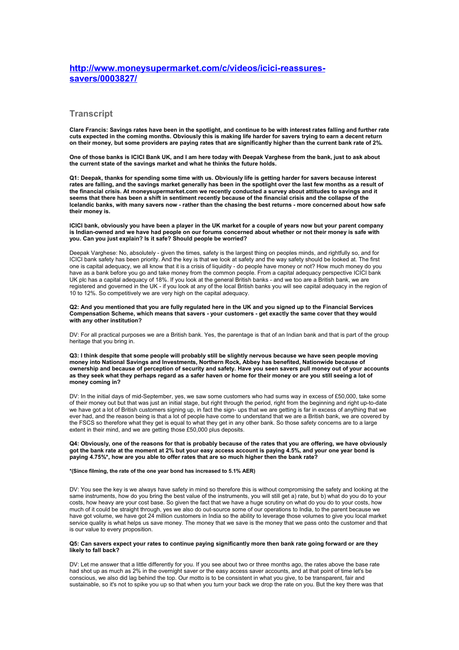# **[http://www.moneysupermarket.com/c/videos/icici-reassures](http://www.moneysupermarket.com/c/videos/icici-reassures-savers/0003827/)[savers/0003827/](http://www.moneysupermarket.com/c/videos/icici-reassures-savers/0003827/)**

# **Transcript**

**Clare Francis: Savings rates have been in the spotlight, and continue to be with interest rates falling and further rate cuts expected in the coming months. Obviously this is making life harder for savers trying to earn a decent return on their money, but some providers are paying rates that are significantly higher than the current bank rate of 2%.**

**One of those banks is ICICI Bank UK, and I am here today with Deepak Varghese from the bank, just to ask about the current state of the savings market and what he thinks the future holds.**

**Q1: Deepak, thanks for spending some time with us. Obviously life is getting harder for savers because interest rates are falling, and the savings market generally has been in the spotlight over the last few months as a result of the financial crisis. At moneysupermarket.com we recently conducted a survey about attitudes to savings and it seems that there has been a shift in sentiment recently because of the financial crisis and the collapse of the Icelandic banks, with many savers now - rather than the chasing the best returns - more concerned about how safe their money is.**

**ICICI bank, obviously you have been a player in the UK market for a couple of years now but your parent company is Indian-owned and we have had people on our forums concerned about whether or not their money is safe with you. Can you just explain? Is it safe? Should people be worried?**

Deepak Varghese: No, absolutely - given the times, safety is the largest thing on peoples minds, and rightfully so, and for ICICI bank safety has been priority. And the key is that we look at safety and the way safety should be looked at. The first one is capital adequacy, we all know that it is a crisis of liquidity - do people have money or not? How much money do you have as a bank before you go and take money from the common people. From a capital adequacy perspective ICICI bank UK plc has a capital adequacy of 18%. If you look at the general British banks - and we too are a British bank, we are registered and governed in the UK - if you look at any of the local British banks you will see capital adequacy in the region of 10 to 12%. So competitively we are very high on the capital adequacy.

**Q2: And you mentioned that you are fully regulated here in the UK and you signed up to the Financial Services Compensation Scheme, which means that savers - your customers - get exactly the same cover that they would with any other institution?**

DV: For all practical purposes we are a British bank. Yes, the parentage is that of an Indian bank and that is part of the group heritage that you bring in.

**Q3: I think despite that some people will probably still be slightly nervous because we have seen people moving money into National Savings and Investments, Northern Rock, Abbey has benefited, Nationwide because of ownership and because of perception of security and safety. Have you seen savers pull money out of your accounts as they seek what they perhaps regard as a safer haven or home for their money or are you still seeing a lot of money coming in?**

DV: In the initial days of mid-September, yes, we saw some customers who had sums way in excess of £50,000, take some of their money out but that was just an initial stage, but right through the period, right from the beginning and right up-to-date we have got a lot of British customers signing up, in fact the sign- ups that we are getting is far in excess of anything that we ever had, and the reason being is that a lot of people have come to understand that we are a British bank, we are covered by the FSCS so therefore what they get is equal to what they get in any other bank. So those safety concerns are to a large extent in their mind, and we are getting those £50,000 plus deposits.

**Q4: Obviously, one of the reasons for that is probably because of the rates that you are offering, we have obviously got the bank rate at the moment at 2% but your easy access account is paying 4.5%, and your one year bond is paying 4.75%\*, how are you able to offer rates that are so much higher then the bank rate?** 

### **\*(Since filming, the rate of the one year bond has increased to 5.1% AER)**

DV: You see the key is we always have safety in mind so therefore this is without compromising the safety and looking at the same instruments, how do you bring the best value of the instruments, you will still get a) rate, but b) what do you do to your costs, how heavy are your cost base. So given the fact that we have a huge scrutiny on what do you do to your costs, how much of it could be straight through, yes we also do out-source some of our operations to India, to the parent because we have got volume, we have got 24 million customers in India so the ability to leverage those volumes to give you local market service quality is what helps us save money. The money that we save is the money that we pass onto the customer and that is our value to every proposition.

# **Q5: Can savers expect your rates to continue paying significantly more then bank rate going forward or are they likely to fall back?**

DV: Let me answer that a little differently for you. If you see about two or three months ago, the rates above the base rate had shot up as much as 2% in the overnight saver or the easy access saver accounts, and at that point of time let's be conscious, we also did lag behind the top. Our motto is to be consistent in what you give, to be transparent, fair and sustainable, so it's not to spike you up so that when you turn your back we drop the rate on you. But the key there was that